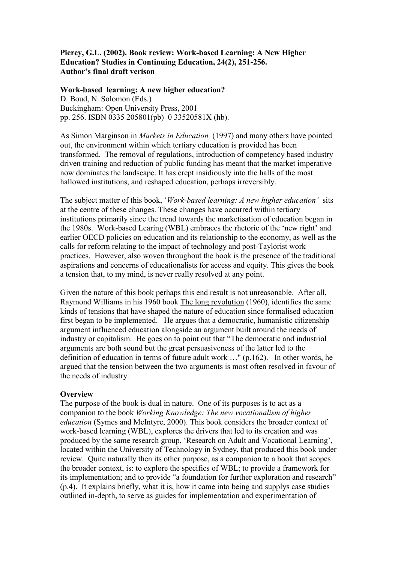## **Piercy, G.L. (2002). Book review: Work-based Learning: A New Higher Education? Studies in Continuing Education, 24(2), 251-256. Author's final draft verison**

### **Work-based learning: A new higher education?**  D. Boud, N. Solomon (Eds.) Buckingham: Open University Press, 2001 pp. 256. ISBN 0335 205801(pb) 0 33520581X (hb).

As Simon Marginson in *Markets in Education* (1997) and many others have pointed out, the environment within which tertiary education is provided has been transformed. The removal of regulations, introduction of competency based industry driven training and reduction of public funding has meant that the market imperative now dominates the landscape. It has crept insidiously into the halls of the most hallowed institutions, and reshaped education, perhaps irreversibly.

The subject matter of this book, "*Work-based learning: A new higher education'* sits at the centre of these changes. These changes have occurred within tertiary institutions primarily since the trend towards the marketisation of education began in the 1980s. Work-based Learing (WBL) embraces the rhetoric of the "new right" and earlier OECD policies on education and its relationship to the economy, as well as the calls for reform relating to the impact of technology and post-Taylorist work practices. However, also woven throughout the book is the presence of the traditional aspirations and concerns of educationalists for access and equity. This gives the book a tension that, to my mind, is never really resolved at any point.

Given the nature of this book perhaps this end result is not unreasonable. After all, Raymond Williams in his 1960 book The long revolution (1960), identifies the same kinds of tensions that have shaped the nature of education since formalised education first began to be implemented. He argues that a democratic, humanistic citizenship argument influenced education alongside an argument built around the needs of industry or capitalism. He goes on to point out that "The democratic and industrial arguments are both sound but the great persuasiveness of the latter led to the definition of education in terms of future adult work …" (p.162). In other words, he argued that the tension between the two arguments is most often resolved in favour of the needs of industry.

### **Overview**

The purpose of the book is dual in nature. One of its purposes is to act as a companion to the book *Working Knowledge: The new vocationalism of higher education* (Symes and McIntyre, 2000). This book considers the broader context of work-based learning (WBL), explores the drivers that led to its creation and was produced by the same research group, "Research on Adult and Vocational Learning", located within the University of Technology in Sydney, that produced this book under review. Quite naturally then its other purpose, as a companion to a book that scopes the broader context, is: to explore the specifics of WBL; to provide a framework for its implementation; and to provide "a foundation for further exploration and research" (p.4). It explains briefly, what it is, how it came into being and supplys case studies outlined in-depth, to serve as guides for implementation and experimentation of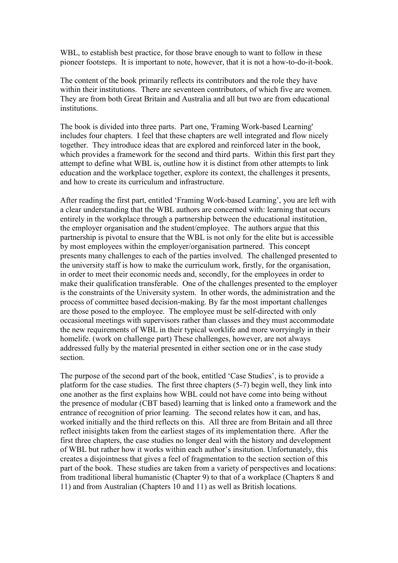WBL, to establish best practice, for those brave enough to want to follow in these pioneer footsteps. It is important to note, however, that it is not a how-to-do-it-book.

The content of the book primarily reflects its contributors and the role they have within their institutions. There are seventeen contributors, of which five are women. They are from both Great Britain and Australia and all but two are from educational institutions.

The book is divided into three parts. Part one, 'Framing Work-based Learning' includes four chapters. I feel that these chapters are well integrated and flow nicely together. They introduce ideas that are explored and reinforced later in the book, which provides a framework for the second and third parts. Within this first part they attempt to define what WBL is, outline how it is distinct from other attempts to link education and the workplace together, explore its context, the challenges it presents, and how to create its curriculum and infrastructure.

After reading the first part, entitled "Framing Work-based Learning", you are left with a clear understanding that the WBL authors are concerned with: learning that occurs entirely in the workplace through a partnership between the educational institution, the employer organisation and the student/employee. The authors argue that this partnership is pivotal to ensure that the WBL is not only for the elite but is accessible by most employees within the employer/organisation partnered. This concept presents many challenges to each of the parties involved. The challenged presented to the university staff is how to make the curriculum work, firstly, for the organisation, in order to meet their economic needs and, secondly, for the employees in order to make their qualification transferable. One of the challenges presented to the employer is the constraints of the University system. In other words, the administration and the process of committee based decision-making. By far the most important challenges are those posed to the employee. The employee must be self-directed with only occasional meetings with supervisors rather than classes and they must accommodate the new requirements of WBL in their typical worklife and more worryingly in their homelife. (work on challenge part) These challenges, however, are not always addressed fully by the material presented in either section one or in the case study section.

The purpose of the second part of the book, entitled 'Case Studies', is to provide a platform for the case studies. The first three chapters (5-7) begin well, they link into one another as the first explains how WBL could not have come into being without the presence of modular (CBT based) learning that is linked onto a framework and the entrance of recognition of prior learning. The second relates how it can, and has, worked initially and the third reflects on this. All three are from Britain and all three reflect inisights taken from the earliest stages of its implementation there. After the first three chapters, the case studies no longer deal with the history and development of WBL but rather how it works within each author"s insitution. Unfortunately, this creates a disjointness that gives a feel of fragmentation to the section section of this part of the book. These studies are taken from a variety of perspectives and locations: from traditional liberal humanistic (Chapter 9) to that of a workplace (Chapters 8 and 11) and from Australian (Chapters 10 and 11) as well as British locations.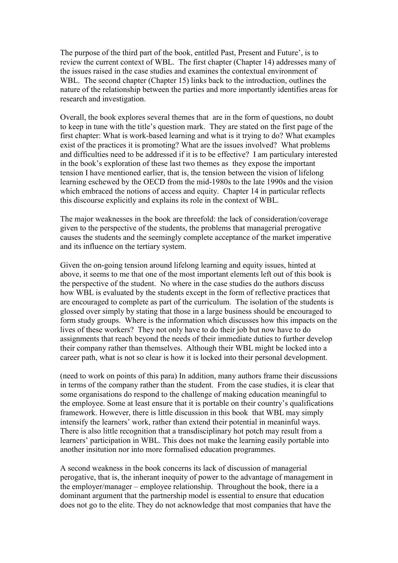The purpose of the third part of the book, entitled Past, Present and Future", is to review the current context of WBL. The first chapter (Chapter 14) addresses many of the issues raised in the case studies and examines the contextual environment of WBL. The second chapter (Chapter 15) links back to the introduction, outlines the nature of the relationship between the parties and more importantly identifies areas for research and investigation.

Overall, the book explores several themes that are in the form of questions, no doubt to keep in tune with the title"s question mark. They are stated on the first page of the first chapter: What is work-based learning and what is it trying to do? What examples exist of the practices it is promoting? What are the issues involved? What problems and difficulties need to be addressed if it is to be effective? I am particulary interested in the book"s exploration of these last two themes as they expose the important tension I have mentioned earlier, that is, the tension between the vision of lifelong learning eschewed by the OECD from the mid-1980s to the late 1990s and the vision which embraced the notions of access and equity. Chapter 14 in particular reflects this discourse explicitly and explains its role in the context of WBL.

The major weaknesses in the book are threefold: the lack of consideration/coverage given to the perspective of the students, the problems that managerial prerogative causes the students and the seemingly complete acceptance of the market imperative and its influence on the tertiary system.

Given the on-going tension around lifelong learning and equity issues, hinted at above, it seems to me that one of the most important elements left out of this book is the perspective of the student. No where in the case studies do the authors discuss how WBL is evaluated by the students except in the form of reflective practices that are encouraged to complete as part of the curriculum. The isolation of the students is glossed over simply by stating that those in a large business should be encouraged to form study groups. Where is the information which discusses how this impacts on the lives of these workers? They not only have to do their job but now have to do assignments that reach beyond the needs of their immediate duties to further develop their company rather than themselves. Although their WBL might be locked into a career path, what is not so clear is how it is locked into their personal development.

(need to work on points of this para) In addition, many authors frame their discussions in terms of the company rather than the student. From the case studies, it is clear that some organisations do respond to the challenge of making education meaningful to the employee. Some at least ensure that it is portable on their country"s qualifications framework. However, there is little discussion in this book that WBL may simply intensify the learners' work, rather than extend their potential in meaninful ways. There is also little recognition that a transdisciplinary hot potch may result from a learners" participation in WBL. This does not make the learning easily portable into another insitution nor into more formalised education programmes.

A second weakness in the book concerns its lack of discussion of managerial perogative, that is, the inherant inequity of power to the advantage of management in the employer/manager – employee relationship. Throughout the book, there ia a dominant argument that the partnership model is essential to ensure that education does not go to the elite. They do not acknowledge that most companies that have the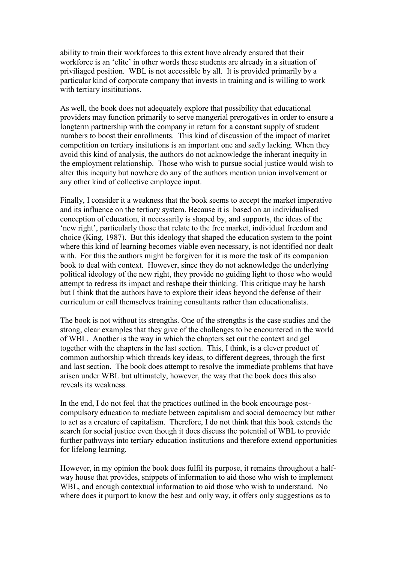ability to train their workforces to this extent have already ensured that their workforce is an 'elite' in other words these students are already in a situation of priviliaged position. WBL is not accessible by all. It is provided primarily by a particular kind of corporate company that invests in training and is willing to work with tertiary insititutions.

As well, the book does not adequately explore that possibility that educational providers may function primarily to serve mangerial prerogatives in order to ensure a longterm partnership with the company in return for a constant supply of student numbers to boost their enrollments. This kind of discussion of the impact of market competition on tertiary insitutions is an important one and sadly lacking. When they avoid this kind of analysis, the authors do not acknowledge the inherant inequity in the employment relationship. Those who wish to pursue social justice would wish to alter this inequity but nowhere do any of the authors mention union involvement or any other kind of collective employee input.

Finally, I consider it a weakness that the book seems to accept the market imperative and its influence on the tertiary system. Because it is based on an individualised conception of education, it necessarily is shaped by, and supports, the ideas of the 'new right', particularly those that relate to the free market, individual freedom and choice (King, 1987). But this ideology that shaped the education system to the point where this kind of learning becomes viable even necessary, is not identified nor dealt with. For this the authors might be forgiven for it is more the task of its companion book to deal with context. However, since they do not acknowledge the underlying political ideology of the new right, they provide no guiding light to those who would attempt to redress its impact and reshape their thinking. This critique may be harsh but I think that the authors have to explore their ideas beyond the defense of their curriculum or call themselves training consultants rather than educationalists.

The book is not without its strengths. One of the strengths is the case studies and the strong, clear examples that they give of the challenges to be encountered in the world of WBL. Another is the way in which the chapters set out the context and gel together with the chapters in the last section. This, I think, is a clever product of common authorship which threads key ideas, to different degrees, through the first and last section. The book does attempt to resolve the immediate problems that have arisen under WBL but ultimately, however, the way that the book does this also reveals its weakness.

In the end, I do not feel that the practices outlined in the book encourage postcompulsory education to mediate between capitalism and social democracy but rather to act as a creature of capitalism. Therefore, I do not think that this book extends the search for social justice even though it does discuss the potential of WBL to provide further pathways into tertiary education institutions and therefore extend opportunities for lifelong learning.

However, in my opinion the book does fulfil its purpose, it remains throughout a halfway house that provides, snippets of information to aid those who wish to implement WBL, and enough contextual information to aid those who wish to understand. No where does it purport to know the best and only way, it offers only suggestions as to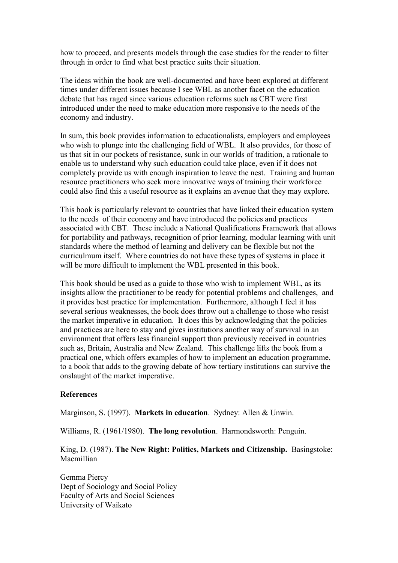how to proceed, and presents models through the case studies for the reader to filter through in order to find what best practice suits their situation.

The ideas within the book are well-documented and have been explored at different times under different issues because I see WBL as another facet on the education debate that has raged since various education reforms such as CBT were first introduced under the need to make education more responsive to the needs of the economy and industry.

In sum, this book provides information to educationalists, employers and employees who wish to plunge into the challenging field of WBL. It also provides, for those of us that sit in our pockets of resistance, sunk in our worlds of tradition, a rationale to enable us to understand why such education could take place, even if it does not completely provide us with enough inspiration to leave the nest. Training and human resource practitioners who seek more innovative ways of training their workforce could also find this a useful resource as it explains an avenue that they may explore.

This book is particularly relevant to countries that have linked their education system to the needs of their economy and have introduced the policies and practices associated with CBT. These include a National Qualifications Framework that allows for portability and pathways, recognition of prior learning, modular learning with unit standards where the method of learning and delivery can be flexible but not the curriculmum itself. Where countries do not have these types of systems in place it will be more difficult to implement the WBL presented in this book.

This book should be used as a guide to those who wish to implement WBL, as its insights allow the practitioner to be ready for potential problems and challenges, and it provides best practice for implementation. Furthermore, although I feel it has several serious weaknesses, the book does throw out a challenge to those who resist the market imperative in education. It does this by acknowledging that the policies and practices are here to stay and gives institutions another way of survival in an environment that offers less financial support than previously received in countries such as, Britain, Australia and New Zealand. This challenge lifts the book from a practical one, which offers examples of how to implement an education programme, to a book that adds to the growing debate of how tertiary institutions can survive the onslaught of the market imperative.

### **References**

Marginson, S. (1997). **Markets in education**. Sydney: Allen & Unwin.

Williams, R. (1961/1980). **The long revolution**. Harmondsworth: Penguin.

# King, D. (1987). **The New Right: Politics, Markets and Citizenship.** Basingstoke: Macmillian

Gemma Piercy Dept of Sociology and Social Policy Faculty of Arts and Social Sciences University of Waikato